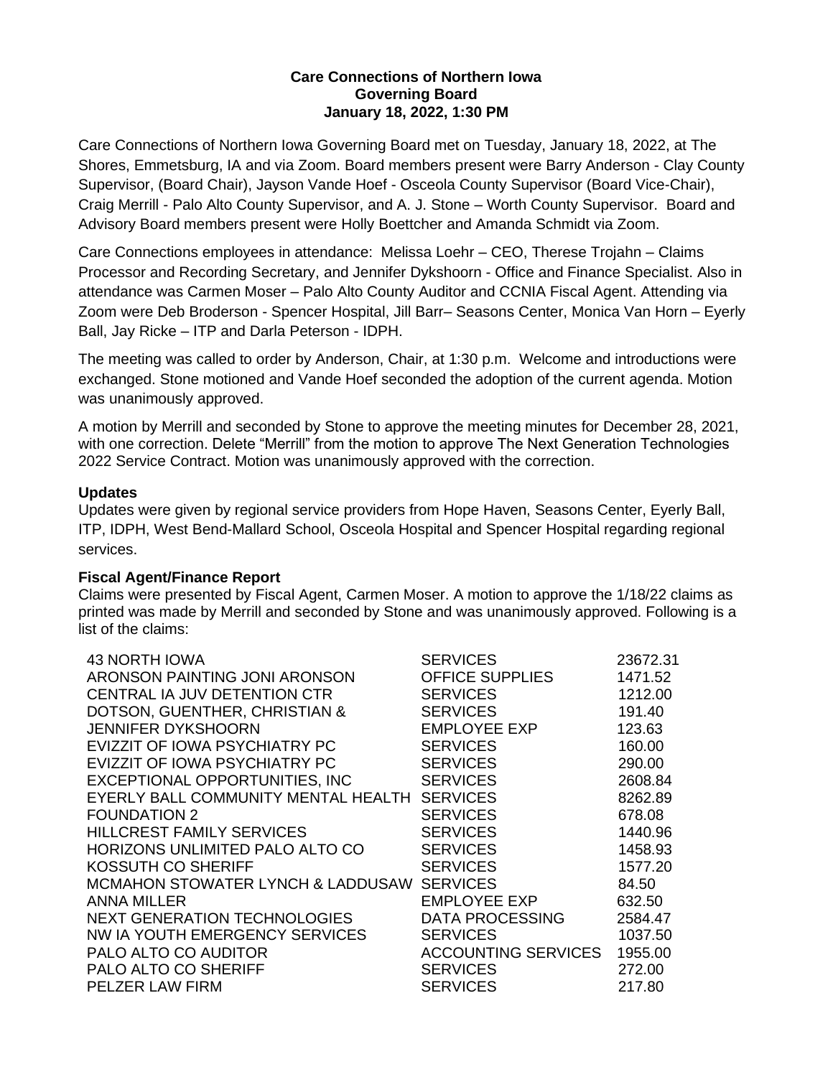### **Care Connections of Northern Iowa Governing Board January 18, 2022, 1:30 PM**

Care Connections of Northern Iowa Governing Board met on Tuesday, January 18, 2022, at The Shores, Emmetsburg, IA and via Zoom. Board members present were Barry Anderson - Clay County Supervisor, (Board Chair), Jayson Vande Hoef - Osceola County Supervisor (Board Vice-Chair), Craig Merrill - Palo Alto County Supervisor, and A. J. Stone – Worth County Supervisor. Board and Advisory Board members present were Holly Boettcher and Amanda Schmidt via Zoom.

Care Connections employees in attendance: Melissa Loehr – CEO, Therese Trojahn – Claims Processor and Recording Secretary, and Jennifer Dykshoorn - Office and Finance Specialist. Also in attendance was Carmen Moser – Palo Alto County Auditor and CCNIA Fiscal Agent. Attending via Zoom were Deb Broderson - Spencer Hospital, Jill Barr– Seasons Center, Monica Van Horn – Eyerly Ball, Jay Ricke – ITP and Darla Peterson - IDPH.

The meeting was called to order by Anderson, Chair, at 1:30 p.m. Welcome and introductions were exchanged. Stone motioned and Vande Hoef seconded the adoption of the current agenda. Motion was unanimously approved.

A motion by Merrill and seconded by Stone to approve the meeting minutes for December 28, 2021, with one correction. Delete "Merrill" from the motion to approve The Next Generation Technologies 2022 Service Contract. Motion was unanimously approved with the correction.

# **Updates**

Updates were given by regional service providers from Hope Haven, Seasons Center, Eyerly Ball, ITP, IDPH, West Bend-Mallard School, Osceola Hospital and Spencer Hospital regarding regional services.

# **Fiscal Agent/Finance Report**

Claims were presented by Fiscal Agent, Carmen Moser. A motion to approve the 1/18/22 claims as printed was made by Merrill and seconded by Stone and was unanimously approved. Following is a list of the claims:

| 43 NORTH IOWA<br>ARONSON PAINTING JONI ARONSON<br><b>CENTRAL IA JUV DETENTION CTR</b><br>DOTSON, GUENTHER, CHRISTIAN &<br><b>JENNIFER DYKSHOORN</b><br>EVIZZIT OF IOWA PSYCHIATRY PC<br>EVIZZIT OF IOWA PSYCHIATRY PC<br>EXCEPTIONAL OPPORTUNITIES, INC<br>EYERLY BALL COMMUNITY MENTAL HEALTH SERVICES<br><b>FOUNDATION 2</b><br><b>HILLCREST FAMILY SERVICES</b><br>HORIZONS UNLIMITED PALO ALTO CO<br>KOSSUTH CO SHERIFF<br>MCMAHON STOWATER LYNCH & LADDUSAW SERVICES<br><b>ANNA MILLER</b><br>NEXT GENERATION TECHNOLOGIES<br>NW IA YOUTH EMERGENCY SERVICES<br><b>PALO ALTO CO AUDITOR</b> | <b>SERVICES</b><br>OFFICE SUPPLIES<br><b>SERVICES</b><br><b>SERVICES</b><br><b>EMPLOYEE EXP</b><br><b>SERVICES</b><br><b>SERVICES</b><br><b>SERVICES</b><br><b>SERVICES</b><br><b>SERVICES</b><br><b>SERVICES</b><br><b>SERVICES</b><br><b>EMPLOYEE EXP</b><br>DATA PROCESSING<br><b>SERVICES</b><br><b>ACCOUNTING SERVICES</b> | 23672.31<br>1471.52<br>1212.00<br>191.40<br>123.63<br>160.00<br>290.00<br>2608.84<br>8262.89<br>678.08<br>1440.96<br>1458.93<br>1577.20<br>84.50<br>632.50<br>2584.47<br>1037.50<br>1955.00 |
|--------------------------------------------------------------------------------------------------------------------------------------------------------------------------------------------------------------------------------------------------------------------------------------------------------------------------------------------------------------------------------------------------------------------------------------------------------------------------------------------------------------------------------------------------------------------------------------------------|---------------------------------------------------------------------------------------------------------------------------------------------------------------------------------------------------------------------------------------------------------------------------------------------------------------------------------|---------------------------------------------------------------------------------------------------------------------------------------------------------------------------------------------|
| <b>PALO ALTO CO SHERIFF</b><br>PELZER LAW FIRM                                                                                                                                                                                                                                                                                                                                                                                                                                                                                                                                                   | <b>SERVICES</b><br><b>SERVICES</b>                                                                                                                                                                                                                                                                                              | 272.00<br>217.80                                                                                                                                                                            |
|                                                                                                                                                                                                                                                                                                                                                                                                                                                                                                                                                                                                  |                                                                                                                                                                                                                                                                                                                                 |                                                                                                                                                                                             |